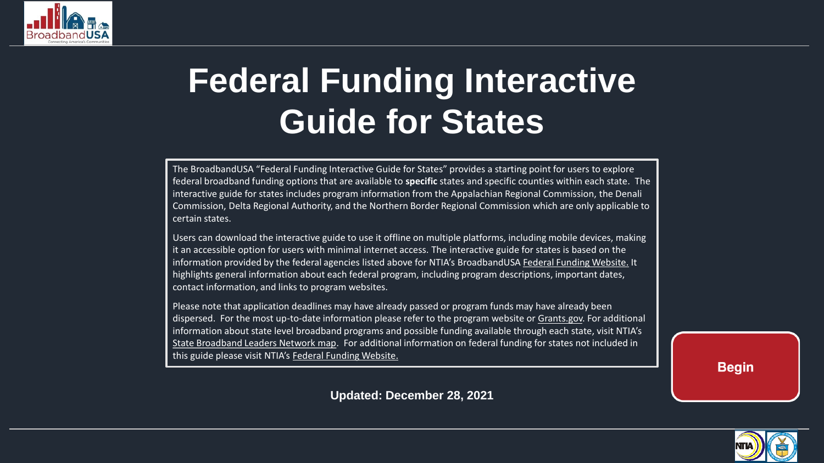<span id="page-0-0"></span>

# **Federal Funding Interactive Guide for States**

The BroadbandUSA "Federal Funding Interactive Guide for States" provides a starting point for users to explore federal broadband funding options that are available to **specific** states and specific counties within each state. The interactive guide for states includes program information from the Appalachian Regional Commission, the Denali Commission, Delta Regional Authority, and the Northern Border Regional Commission which are only applicable to certain states.

Users can download the interactive guide to use it offline on multiple platforms, including mobile devices, making it an accessible option for users with minimal internet access. The interactive guide for states is based on the information provided by the federal agencies listed above for NTIA's BroadbandUSA [Federal Funding Website.](https://broadbandusa.ntia.doc.gov/resources/federal/federal-funding) It highlights general information about each federal program, including program descriptions, important dates, contact information, and links to program websites.

Please note that application deadlines may have already passed or program funds may have already been dispersed. For the most up-to-date information please refer to the program website or [Grants.gov.](https://www.grants.gov/) For additional information about state level broadband programs and possible funding available through each state, visit NTIA's [State Broadband Leaders Network map.](https://broadbandusa.ntia.doc.gov/resources/states) For additional information on federal funding for states not included in this guide please visit NTIA's [Federal Funding Website.](https://broadbandusa.ntia.doc.gov/resources/federal/federal-funding)

**Begin** 

**Updated: December 28, 2021**

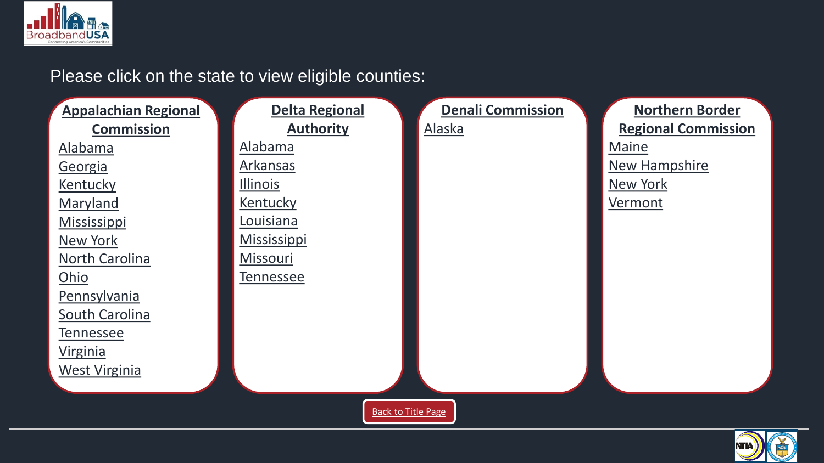

#### Please click on the state to view eligible counties:



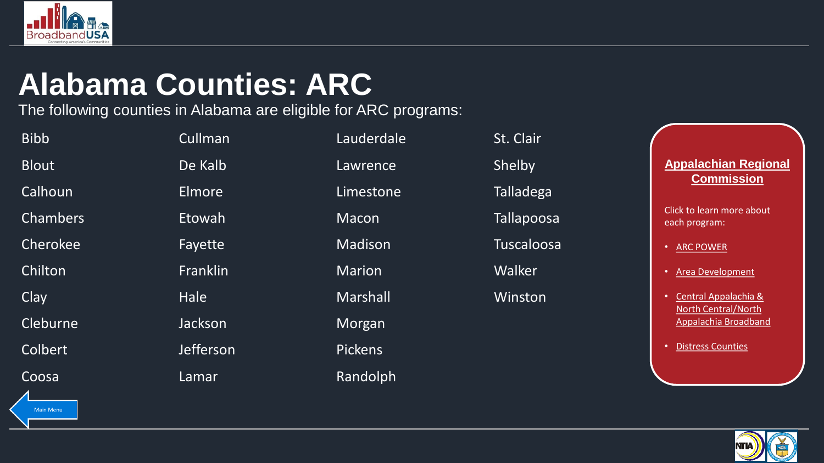<span id="page-2-0"></span>

## **Alabama Counties: ARC**

The following counties in Alabama are eligible for ARC programs:

| <b>Bibb</b>             | Cullman   | Lauderdale     | St. Clair         |
|-------------------------|-----------|----------------|-------------------|
| <b>Blout</b>            | De Kalb   | Lawrence       | Shelby            |
| Calhoun                 | Elmore    | Limestone      | <b>Talladega</b>  |
| <b>Chambers</b>         | Etowah    | <b>Macon</b>   | <b>Tallapoosa</b> |
| Cherokee                | Fayette   | Madison        | Tuscaloosa        |
| Chilton                 | Franklin  | <b>Marion</b>  | Walker            |
| Clay                    | Hale      | Marshall       | Winston           |
| Cleburne                | Jackson   | Morgan         |                   |
| Colbert                 | Jefferson | <b>Pickens</b> |                   |
| Coosa<br>$\overline{ }$ | Lamar     | Randolph       |                   |

**Appalachian Regional Commission**

- [ARC POWER](#page-15-0)
- [Area Development](#page-16-0)
- Central Appalachia & [North Central/North](#page-17-0)  Appalachia Broadband
- [Distress Counties](#page-18-0)

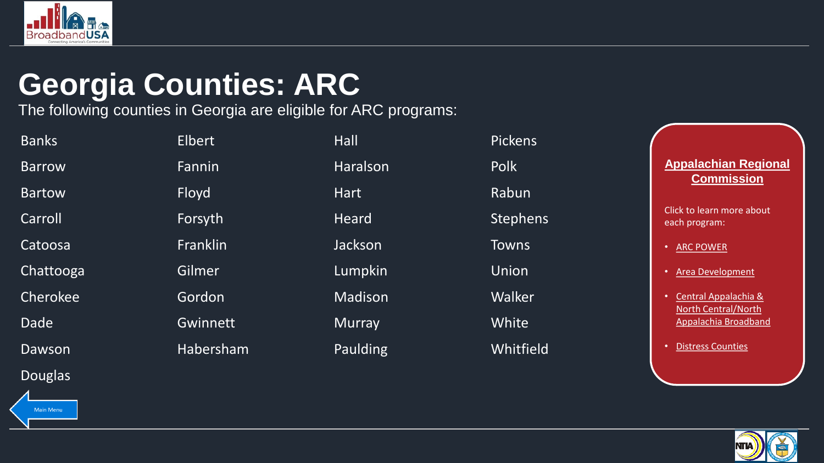<span id="page-3-0"></span>

## **Georgia Counties: ARC**

The following counties in Georgia are eligible for ARC programs:

| <b>Banks</b>   | <b>Elbert</b>   | Hall            | <b>Pickens</b> |
|----------------|-----------------|-----------------|----------------|
| <b>Barrow</b>  | Fannin          | Haralson        | <b>Polk</b>    |
| <b>Bartow</b>  | Floyd           | <b>Hart</b>     | Rabun          |
| Carroll        | Forsyth         | Heard           | Stephens       |
| Catoosa        | Franklin        | Jackson         | <b>Towns</b>   |
| Chattooga      | Gilmer          | Lumpkin         | Union          |
| Cherokee       | Gordon          | Madison         | Walker         |
| <b>Dade</b>    | <b>Gwinnett</b> | <b>Murray</b>   | White          |
| Dawson         | Habersham       | <b>Paulding</b> | Whitfield      |
| <b>Douglas</b> |                 |                 |                |

**Appalachian Regional Commission**

- [ARC POWER](#page-15-0)
- [Area Development](#page-16-0)
- Central Appalachia & [North Central/North](#page-17-0)  Appalachia Broadband
- [Distress Counties](#page-18-0)

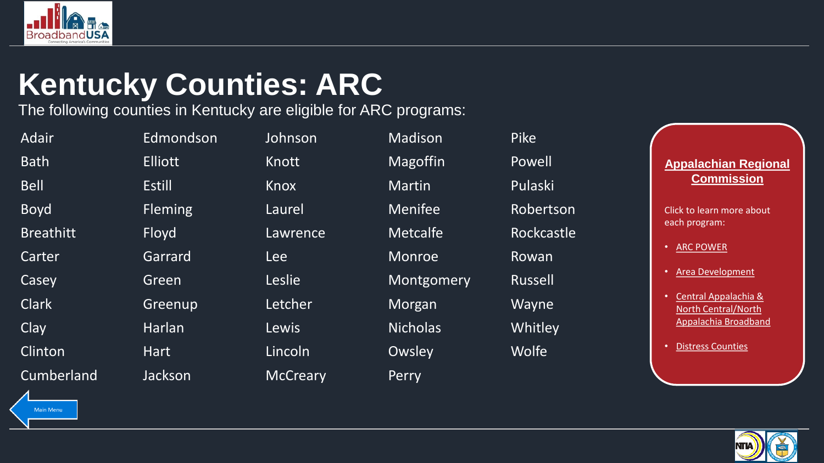<span id="page-4-0"></span>

## **Kentucky Counties: ARC**

The following counties in Kentucky are eligible for ARC programs:

| Adair             | Edmondson      | Johnson         | Madison         | <b>Pike</b>    |
|-------------------|----------------|-----------------|-----------------|----------------|
| <b>Bath</b>       | <b>Elliott</b> | Knott           | Magoffin        | Powell         |
| <b>Bell</b>       | <b>Estill</b>  | Knox            | Martin          | Pulaski        |
| <b>Boyd</b>       | <b>Fleming</b> | Laurel          | <b>Menifee</b>  | Robertson      |
| <b>Breathitt</b>  | Floyd          | Lawrence        | <b>Metcalfe</b> | Rockcastle     |
| Carter            | Garrard        | <b>Lee</b>      | Monroe          | Rowan          |
| Casey             | Green          | Leslie          | Montgomery      | <b>Russell</b> |
| <b>Clark</b>      | Greenup        | Letcher         | Morgan          | Wayne          |
| Clay              | Harlan         | Lewis           | <b>Nicholas</b> | Whitley        |
| Clinton           | <b>Hart</b>    | Lincoln         | Owsley          | <b>Wolfe</b>   |
| <b>Cumberland</b> | Jackson        | <b>McCreary</b> | Perry           |                |
|                   |                |                 |                 |                |

reen Leslie Montgomery Russell

**Appalachian Regional Commission**

- [ARC POWER](#page-15-0)
- [Area Development](#page-16-0)
- Central Appalachia & [North Central/North](#page-17-0)  Appalachia Broadband
- **Distress Counties**



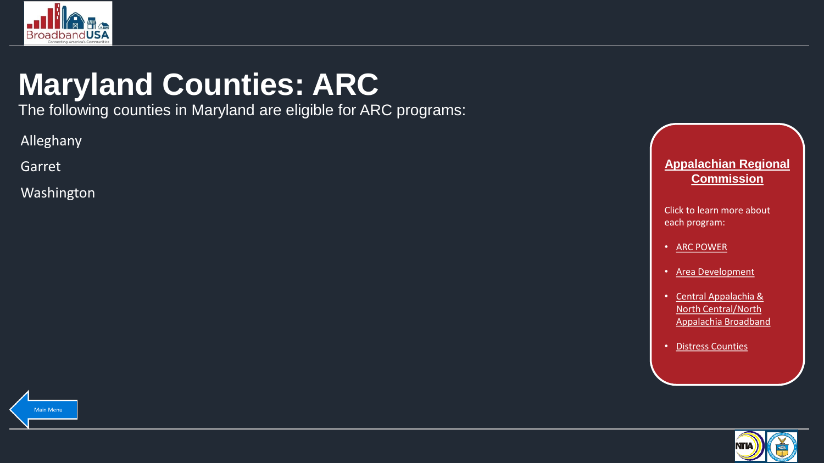<span id="page-5-0"></span>

## **Maryland Counties: ARC**

The following counties in Maryland are eligible for ARC programs:

Alleghany

Garret

Washington



- [ARC POWER](#page-15-0)
- [Area Development](#page-16-0)
- Central Appalachia & [North Central/North](#page-17-0)  Appalachia Broadband
- [Distress Counties](#page-18-0)



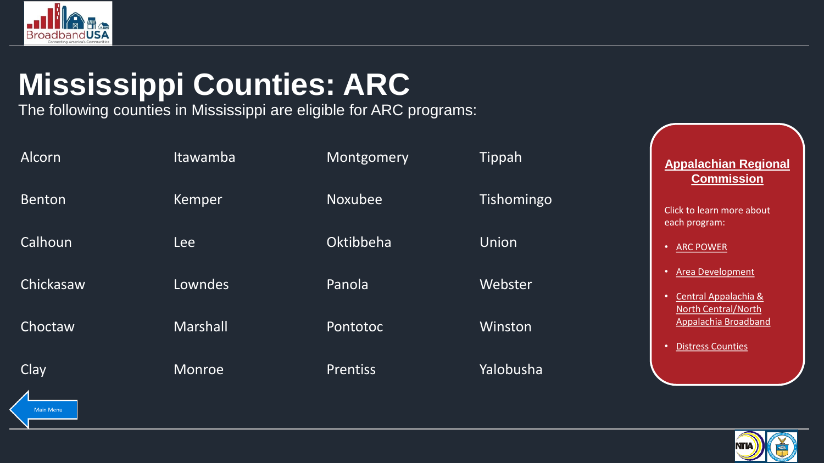<span id="page-6-0"></span>

## **Mississippi Counties: ARC**

The following counties in Mississippi are eligible for ARC programs:

| Alcorn        | <b>Itawamba</b> | Montgomery      | Tippah       | <b>Appalachian Regional</b><br><b>Commission</b>                          |
|---------------|-----------------|-----------------|--------------|---------------------------------------------------------------------------|
| <b>Benton</b> | Kemper          | <b>Noxubee</b>  | Tishomingo   | Click to learn more about<br>each program:                                |
| Calhoun       | <b>Lee</b>      | Oktibbeha       | <b>Union</b> | • ARC POWER                                                               |
| Chickasaw     | Lowndes         | Panola          | Webster      | • Area Development<br>Central Appalachia &<br><b>North Central/North</b>  |
| Choctaw       | <b>Marshall</b> | Pontotoc        | Winston      | Appalachia Broadband<br><b>Distress Counties</b><br>$\boldsymbol{\sigma}$ |
| Clay          | Monroe          | <b>Prentiss</b> | Yalobusha    |                                                                           |

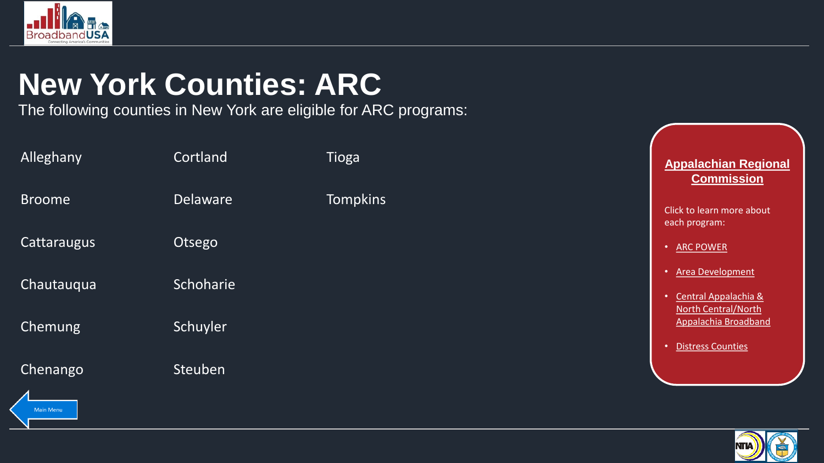<span id="page-7-0"></span>

## **New York Counties: ARC**

The following counties in New York are eligible for ARC programs:

| Alleghany                    | Cortland        | Tioga           | <b>Appalachian Regional</b><br><b>Commission</b>                               |
|------------------------------|-----------------|-----------------|--------------------------------------------------------------------------------|
| <b>Broome</b>                | <b>Delaware</b> | <b>Tompkins</b> | Click to learn more about<br>each program:                                     |
| Cattaraugus                  | Otsego          |                 | • ARC POWER                                                                    |
| Chautauqua                   | Schoharie       |                 | • Area Development<br>Central Appalachia &<br>$\bullet$<br>North Central/North |
| Chemung                      | Schuyler        |                 | Appalachia Broadband<br><b>Distress Counties</b><br>$\bullet$                  |
| Chenango<br><b>Main Menu</b> | Steuben         |                 |                                                                                |

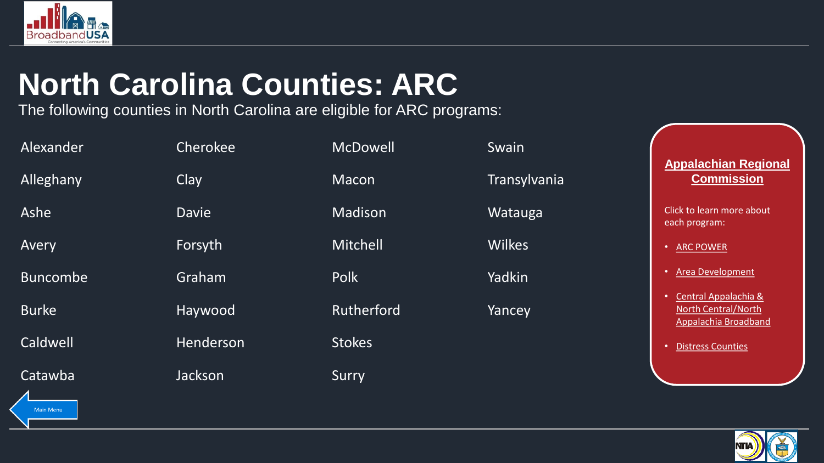<span id="page-8-0"></span>

# **North Carolina Counties: ARC**

The following counties in North Carolina are eligible for ARC programs:

| Alexander       | Cherokee     | <b>McDowell</b> | Swain         |                                                                            |
|-----------------|--------------|-----------------|---------------|----------------------------------------------------------------------------|
| Alleghany       | Clay         | <b>Macon</b>    | Transylvania  | <b>Appalachian Regional</b><br><b>Commission</b>                           |
| Ashe            | <b>Davie</b> | Madison         | Watauga       | Click to learn more about<br>each program:                                 |
| Avery           | Forsyth      | Mitchell        | <b>Wilkes</b> | <b>ARC POWER</b>                                                           |
| <b>Buncombe</b> | Graham       | Polk            | Yadkin        | <b>Area Development</b><br>$\bullet$                                       |
| <b>Burke</b>    | Haywood      | Rutherford      | Yancey        | Central Appalachia &<br><b>North Central/North</b><br>Appalachia Broadband |
| Caldwell        | Henderson    | <b>Stokes</b>   |               | <b>Distress Counties</b><br>$\bullet$                                      |
| Catawba         | Jackson      | Surry           |               |                                                                            |

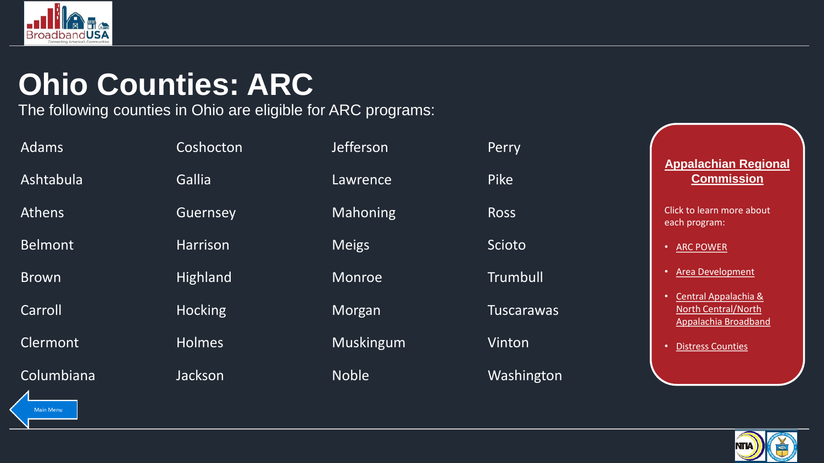<span id="page-9-0"></span>

## **Ohio Counties: ARC**

The following counties in Ohio are eligible for ARC programs:

| <b>Adams</b>     | Coshocton       | <b>Jefferson</b> | Perry             |                                                                            |
|------------------|-----------------|------------------|-------------------|----------------------------------------------------------------------------|
| Ashtabula        | <b>Gallia</b>   | Lawrence         | Pike              | <b>Appalachian Regional</b><br><b>Commission</b>                           |
| <b>Athens</b>    | Guernsey        | <b>Mahoning</b>  | <b>Ross</b>       | Click to learn more about<br>each program:                                 |
| <b>Belmont</b>   | Harrison        | <b>Meigs</b>     | <b>Scioto</b>     | <b>ARC POWER</b>                                                           |
| <b>Brown</b>     | <b>Highland</b> | <b>Monroe</b>    | <b>Trumbull</b>   | <b>Area Development</b>                                                    |
| Carroll          | <b>Hocking</b>  | Morgan           | <b>Tuscarawas</b> | Central Appalachia &<br><b>North Central/North</b><br>Appalachia Broadband |
| Clermont         | <b>Holmes</b>   | Muskingum        | Vinton            | <b>Distress Counties</b>                                                   |
| Columbiana<br>◢. | Jackson         | <b>Noble</b>     | Washington        |                                                                            |

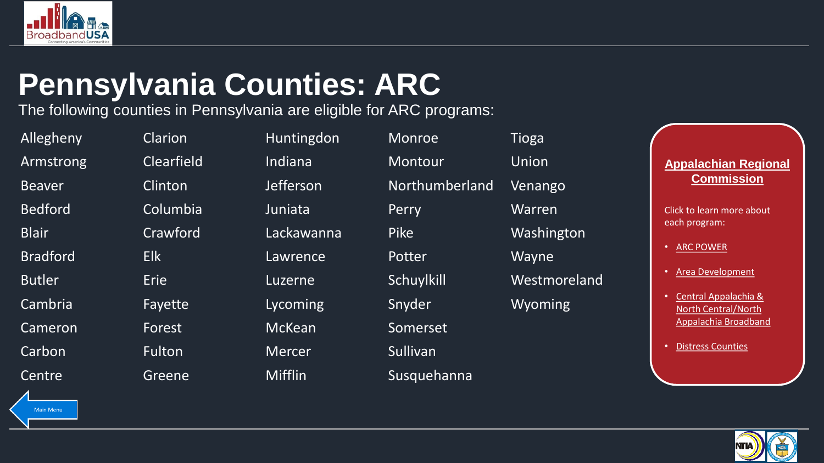<span id="page-10-0"></span>

## **Pennsylvania Counties: ARC**

The following counties in Pennsylvania are eligible for ARC programs:

Main Menu

Cameron Forest McKean Somerset Carbon Fulton Mercer Sullivan

Allegheny Clarion Huntingdon Monroe Tioga Armstrong Clearfield Indiana Montour Union Beaver Clinton Jefferson Northumberland Venango Bedford Columbia Juniata Perry Warren Blair Crawford Lackawanna Pike Washington Bradford Elk Lawrence Potter Wayne Butler Erie Erie Luzerne Schuylkill Westmoreland Cambria **Fayette** Lycoming Snyder Wyoming Centre Greene Mifflin Susquehanna

**Appalachian Regional Commission**

- [ARC POWER](#page-15-0)
- [Area Development](#page-16-0)
- Central Appalachia & [North Central/North](#page-17-0)  Appalachia Broadband
- [Distress Counties](#page-18-0)

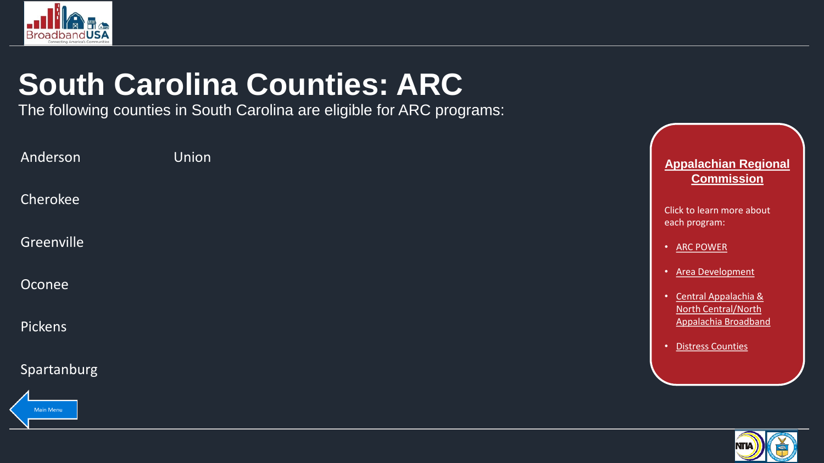<span id="page-11-0"></span>

# **South Carolina Counties: ARC**

The following counties in South Carolina are eligible for ARC programs:

| Anderson       | <b>Union</b> | <b>Appalachian Regional</b><br><b>Commission</b>                    |
|----------------|--------------|---------------------------------------------------------------------|
| Cherokee       |              | Click to learn more about<br>each program:                          |
| Greenville     |              | • ARC POWER                                                         |
| Oconee         |              | • Area Development<br>• Central Appalachia &<br>North Central/North |
| <b>Pickens</b> |              | <b>Appalachia Broadband</b><br>• Distress Counties                  |
| Spartanburg    |              |                                                                     |
| $\overline{A}$ |              |                                                                     |



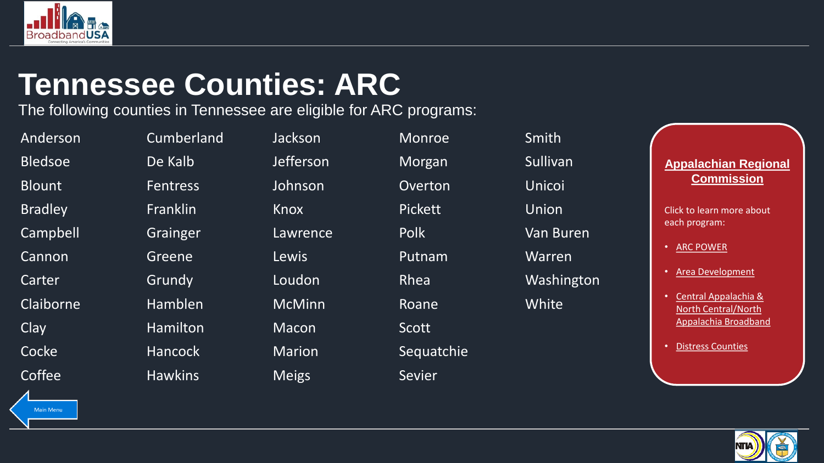<span id="page-12-0"></span>

#### **Tennessee Counties: ARC**

The following counties in Tennessee are eligible for ARC programs:

| Anderson       | Cumberland      | Jackson          | <b>Monroe</b>  | Smith            |
|----------------|-----------------|------------------|----------------|------------------|
| <b>Bledsoe</b> | De Kalb         | <b>Jefferson</b> | Morgan         | Sullivan         |
| <b>Blount</b>  | <b>Fentress</b> | Johnson          | Overton        | Unicoi           |
| <b>Bradley</b> | Franklin        | Knox             | <b>Pickett</b> | Union            |
| Campbell       | Grainger        | Lawrence         | <b>Polk</b>    | <b>Van Buren</b> |
| Cannon         | Greene          | Lewis            | Putnam         | Warren           |
| Carter         | Grundy          | Loudon           | Rhea           | Washingto        |
| Claiborne      | Hamblen         | <b>McMinn</b>    | Roane          | White            |
| Clay           | Hamilton        | Macon            | Scott          |                  |
| Cocke          | <b>Hancock</b>  | <b>Marion</b>    | Sequatchie     |                  |
| Coffee         | <b>Hawkins</b>  | <b>Meigs</b>     | Sevier         |                  |
|                |                 |                  |                |                  |

**Appalachian Regional Commission**

- [ARC POWER](#page-15-0)
- [Area Development](#page-16-0)
- Central Appalachia & [North Central/North](#page-17-0)  Appalachia Broadband
- **Distress Counties**



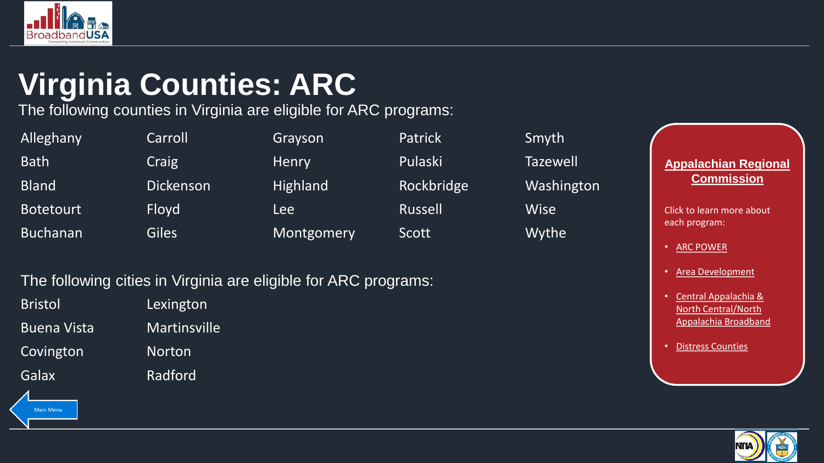<span id="page-13-0"></span>

# **Virginia Counties: ARC**

The following counties in Virginia are eligible for ARC programs:

| Alleghany        | Carroll          | Grayson         | <b>Patrick</b> | Smyth           |
|------------------|------------------|-----------------|----------------|-----------------|
| <b>Bath</b>      | Craig            | Henry           | Pulaski        | <b>Tazewell</b> |
| Bland            | <b>Dickenson</b> | <b>Highland</b> | Rockbridge     | Washing         |
| <b>Botetourt</b> | <b>Floyd</b>     | Lee             | Russell        | <b>Wise</b>     |
| <b>Buchanan</b>  | <b>Giles</b>     | Montgomery      | Scott          | Wythe           |

#### The following cities in Virginia are eligible for ARC programs:

| Bristol            | Lexington           |
|--------------------|---------------------|
| <b>Buena Vista</b> | <b>Martinsville</b> |
| Covington          | <b>Norton</b>       |

Main Menu

Galax Radford

e Washington

**Appalachian Regional Commission**

- [ARC POWER](#page-15-0)
- [Area Development](#page-16-0)
- Central Appalachia & [North Central/North](#page-17-0)  Appalachia Broadband
- [Distress Counties](#page-18-0)

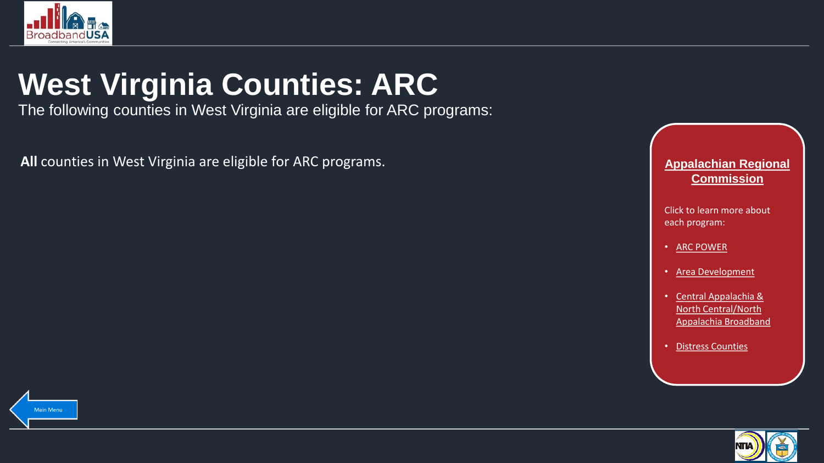<span id="page-14-0"></span>

# **West Virginia Counties: ARC**

The following counties in West Virginia are eligible for ARC programs:

All counties in West Virginia are eligible for ARC programs. **All counting the Superinten Counting Service Appalachian Regional <b>Appalachian Regional** 



- [ARC POWER](#page-15-0)
- [Area Development](#page-16-0)
- Central Appalachia & [North Central/North](#page-17-0)  Appalachia Broadband
- [Distress Counties](#page-18-0)



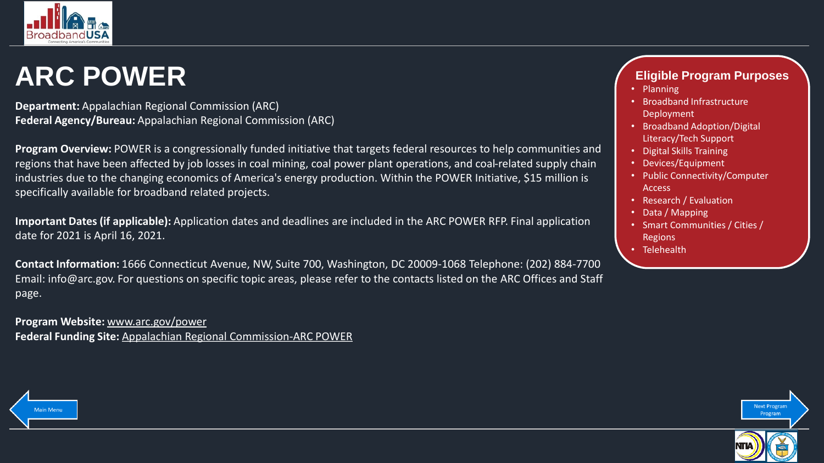<span id="page-15-0"></span>

#### **ARC POWER**

**Department:** Appalachian Regional Commission (ARC) **Federal Agency/Bureau:** Appalachian Regional Commission (ARC)

**Program Overview:** POWER is a congressionally funded initiative that targets federal resources to help communities and regions that have been affected by job losses in coal mining, coal power plant operations, and coal-related supply chain industries due to the changing economics of America's energy production. Within the POWER Initiative, \$15 million is specifically available for broadband related projects.

**Important Dates (if applicable):** Application dates and deadlines are included in the ARC POWER RFP. Final application date for 2021 is April 16, 2021.

**Contact Information:** 1666 Connecticut Avenue, NW, Suite 700, Washington, DC 20009-1068 Telephone: (202) 884-7700 Email: info@arc.gov. For questions on specific topic areas, please refer to the contacts listed on the ARC Offices and Staff page.

**Program Website:** [www.arc.gov/power](http://www.arc.gov/power) **Federal Funding Site:** [Appalachian Regional Commission-ARC POWER](https://broadbandusa.ntia.doc.gov/resources/federal/federal-funding/appalachian-regional-commission-arc-power)

#### **Eligible Program Purposes**

- Planning
- Broadband Infrastructure Deployment
- Broadband Adoption/Digital Literacy/Tech Support
- Digital Skills Training
- Devices/Equipment
- Public Connectivity/Computer Access
- Research / Evaluation
- Data / Mapping
- Smart Communities / Cities / **Regions**
- Telehealth



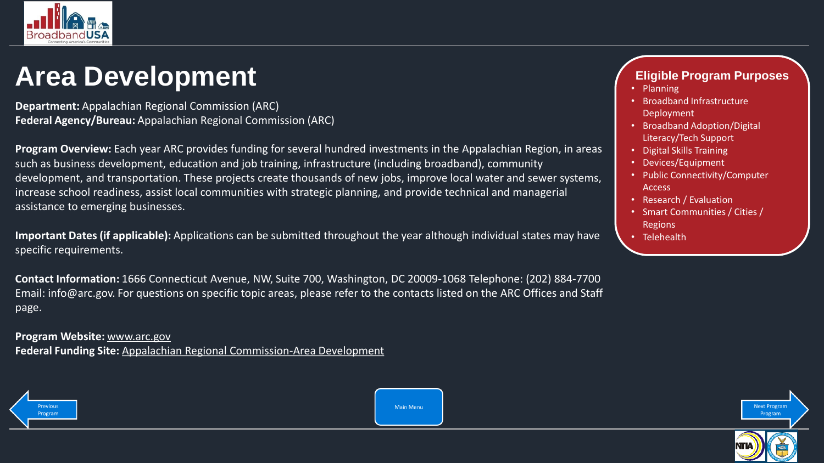<span id="page-16-0"></span>

#### **Area Development**

**Department:** Appalachian Regional Commission (ARC) **Federal Agency/Bureau:** Appalachian Regional Commission (ARC)

**Program Overview:** Each year ARC provides funding for several hundred investments in the Appalachian Region, in areas such as business development, education and job training, infrastructure (including broadband), community development, and transportation. These projects create thousands of new jobs, improve local water and sewer systems, increase school readiness, assist local communities with strategic planning, and provide technical and managerial assistance to emerging businesses.

**Important Dates (if applicable):** Applications can be submitted throughout the year although individual states may have specific requirements.

**Contact Information:** 1666 Connecticut Avenue, NW, Suite 700, Washington, DC 20009-1068 Telephone: (202) 884-7700 Email: info@arc.gov. For questions on specific topic areas, please refer to the contacts listed on the ARC Offices and Staff page.

**Program Website:** [www.arc.gov](http://www.arc.gov/) **Federal Funding Site:** [Appalachian Regional Commission-Area Development](https://broadbandusa.ntia.doc.gov/resources/federal/federal-funding/appalachian-regional-commission-area-development)



**Main Menu** 

#### **Eligible Program Purposes**

- Planning
- Broadband Infrastructure Deployment
- Broadband Adoption/Digital Literacy/Tech Support
- Digital Skills Training
- Devices/Equipment
- Public Connectivity/Computer Access
- Research / Evaluation
- Smart Communities / Cities / Regions
- Telehealth



**Next Progra**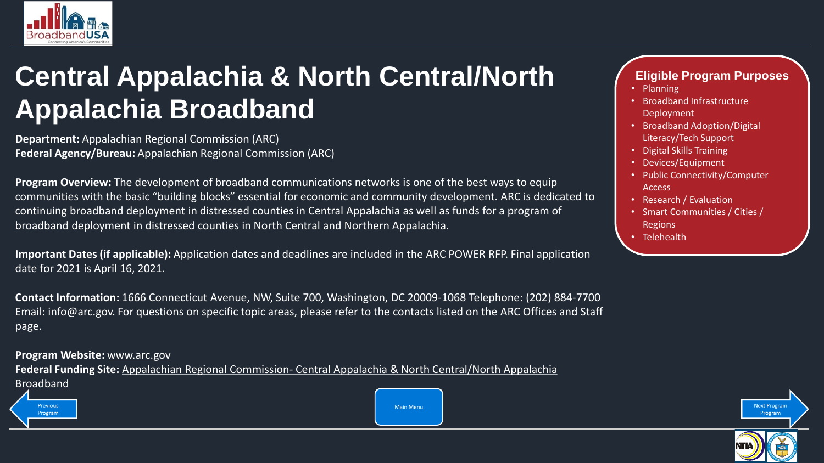<span id="page-17-0"></span>

#### **Central Appalachia & North Central/North Appalachia Broadband**

**Department:** Appalachian Regional Commission (ARC) **Federal Agency/Bureau:** Appalachian Regional Commission (ARC)

**Program Overview:** The development of broadband communications networks is one of the best ways to equip communities with the basic "building blocks" essential for economic and community development. ARC is dedicated to continuing broadband deployment in distressed counties in Central Appalachia as well as funds for a program of broadband deployment in distressed counties in North Central and Northern Appalachia.

**Important Dates (if applicable):** Application dates and deadlines are included in the ARC POWER RFP. Final application date for 2021 is April 16, 2021.

**Contact Information:** 1666 Connecticut Avenue, NW, Suite 700, Washington, DC 20009-1068 Telephone: (202) 884-7700 Email: info@arc.gov. For questions on specific topic areas, please refer to the contacts listed on the ARC Offices and Staff page.

**Program Website:** [www.arc.gov](http://www.arc.gov/)

**Federal Funding Site:** Appalachian Regional Commission- [Central Appalachia & North Central/North Appalachia](https://broadbandusa.ntia.doc.gov/resources/federal/federal-funding/appalachian-regional-commission-central-appalachia-north)  [Broadband](#page-16-0)

#### **Previous** Program

**Main Menu** 

#### **Eligible Program Purposes**

- Planning
- Broadband Infrastructure Deployment
- Broadband Adoption/Digital Literacy/Tech Support
- Digital Skills Training
- Devices/Equipment
- Public Connectivity/Computer Access
- Research / Evaluation
- Smart Communities / Cities / Regions
- Telehealth

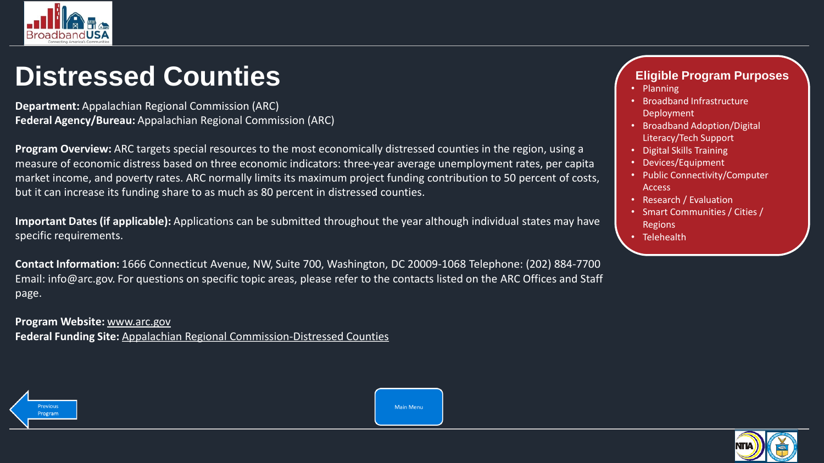<span id="page-18-0"></span>

#### **Distressed Counties**

**Department:** Appalachian Regional Commission (ARC) **Federal Agency/Bureau:** Appalachian Regional Commission (ARC)

**Program Overview:** ARC targets special resources to the most economically distressed counties in the region, using a measure of economic distress based on three economic indicators: three-year average unemployment rates, per capita market income, and poverty rates. ARC normally limits its maximum project funding contribution to 50 percent of costs, but it can increase its funding share to as much as 80 percent in distressed counties.

**Important Dates (if applicable):** Applications can be submitted throughout the year although individual states may have specific requirements.

**Contact Information:** 1666 Connecticut Avenue, NW, Suite 700, Washington, DC 20009-1068 Telephone: (202) 884-7700 Email: info@arc.gov. For questions on specific topic areas, please refer to the contacts listed on the ARC Offices and Staff page.

**Program Website:** [www.arc.gov](http://www.arc.gov/) **Federal Funding Site:** [Appalachian Regional Commission-Distressed Counties](https://broadbandusa.ntia.doc.gov/resources/federal/federal-funding/appalachian-regional-commission-distressed-counties)

#### **Eligible Program Purposes**

- Planning
- Broadband Infrastructure Deployment
- Broadband Adoption/Digital Literacy/Tech Support
- Digital Skills Training
- Devices/Equipment
- Public Connectivity/Computer Access
- Research / Evaluation
- Smart Communities / Cities / Regions
- Telehealth





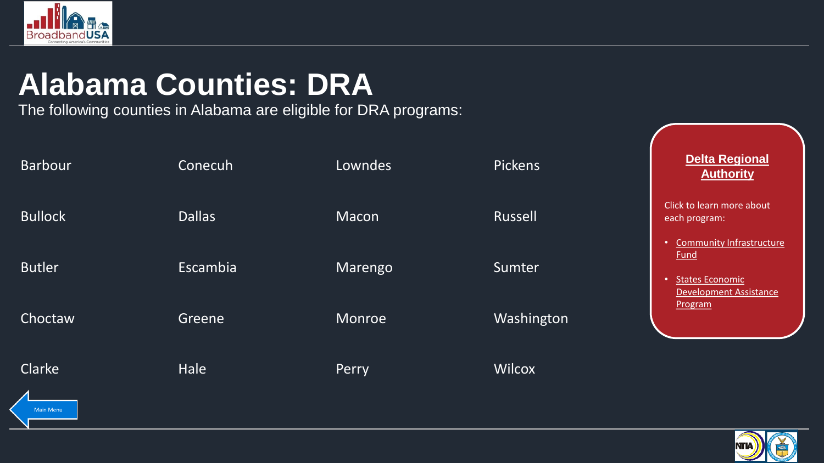<span id="page-19-0"></span>

## **Alabama Counties: DRA**

The following counties in Alabama are eligible for DRA programs:

| <b>Barbour</b> | Conecuh       | Lowndes | <b>Pickens</b> | <b>Delta Regional</b><br><b>Authority</b>                                                                 |
|----------------|---------------|---------|----------------|-----------------------------------------------------------------------------------------------------------|
| <b>Bullock</b> | <b>Dallas</b> | Macon   | Russell        | Click to learn more about<br>each program:                                                                |
| <b>Butler</b>  | Escambia      | Marengo | Sumter         | <b>Community Infrastructure</b><br><b>Fund</b><br><b>States Economic</b><br><b>Development Assistance</b> |
| Choctaw        | Greene        | Monroe  | Washington     | Program                                                                                                   |
| Clarke         | Hale          | Perry   | Wilcox         |                                                                                                           |

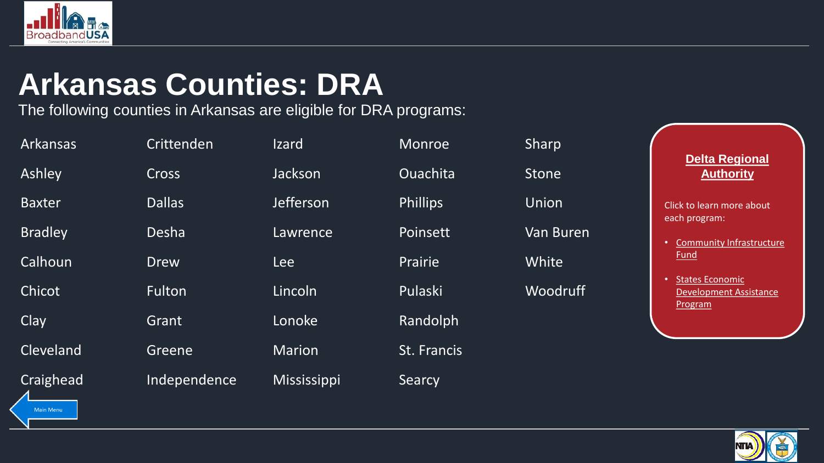<span id="page-20-0"></span>

#### **Arkansas Counties: DRA**

The following counties in Arkansas are eligible for DRA programs:

| <b>Arkansas</b> | Crittenden    | <b>Izard</b>       | Monroe          | Sharp            | <b>Delta Regional</b>                                                                  |
|-----------------|---------------|--------------------|-----------------|------------------|----------------------------------------------------------------------------------------|
| Ashley          | <b>Cross</b>  | Jackson            | Ouachita        | <b>Stone</b>     | <b>Authority</b>                                                                       |
| <b>Baxter</b>   | <b>Dallas</b> | Jefferson          | <b>Phillips</b> | <b>Union</b>     | Click to learn more about<br>each program:                                             |
| <b>Bradley</b>  | Desha         | Lawrence           | Poinsett        | <b>Van Buren</b> | <b>Community Infrastructure</b><br>$\bullet$                                           |
| Calhoun         | <b>Drew</b>   | <b>Lee</b>         | Prairie         | White            | <u>Fund</u>                                                                            |
| Chicot          | Fulton        | Lincoln            | Pulaski         | <b>Woodruff</b>  | <b>States Economic</b><br>$\bullet$<br><b>Development Assistance</b><br><b>Program</b> |
| <b>Clay</b>     | Grant         | Lonoke             | Randolph        |                  |                                                                                        |
| Cleveland       | Greene        | <b>Marion</b>      | St. Francis     |                  |                                                                                        |
| Craighead       | Independence  | <b>Mississippi</b> | Searcy          |                  |                                                                                        |

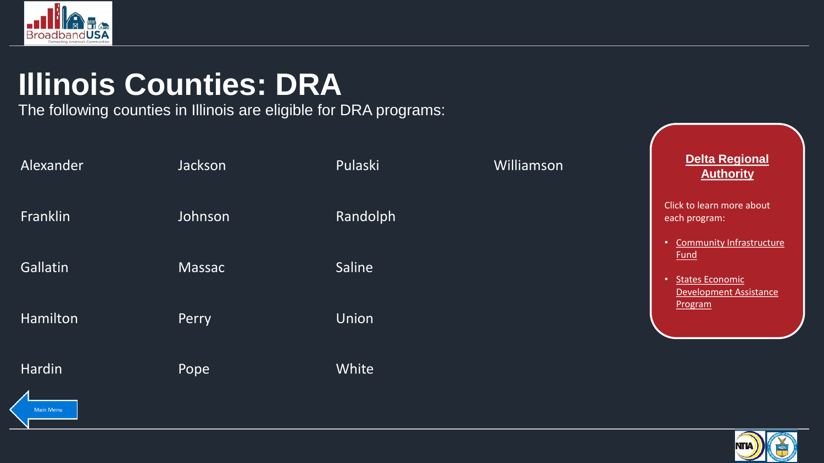<span id="page-21-0"></span>

# **Illinois Counties: DRA**

The following counties in Illinois are eligible for DRA programs:

| Alexander | Jackson       | Pulaski      | Williamson | <b>Delta Regional</b><br><b>Authority</b>                                                                 |
|-----------|---------------|--------------|------------|-----------------------------------------------------------------------------------------------------------|
| Franklin  | Johnson       | Randolph     |            | Click to learn more about<br>each program:                                                                |
| Gallatin  | <b>Massac</b> | Saline       |            | <b>Community Infrastructure</b><br><b>Fund</b><br><b>States Economic</b><br><b>Development Assistance</b> |
| Hamilton  | Perry         | <b>Union</b> |            | Program                                                                                                   |
| Hardin    | Pope          | White        |            |                                                                                                           |



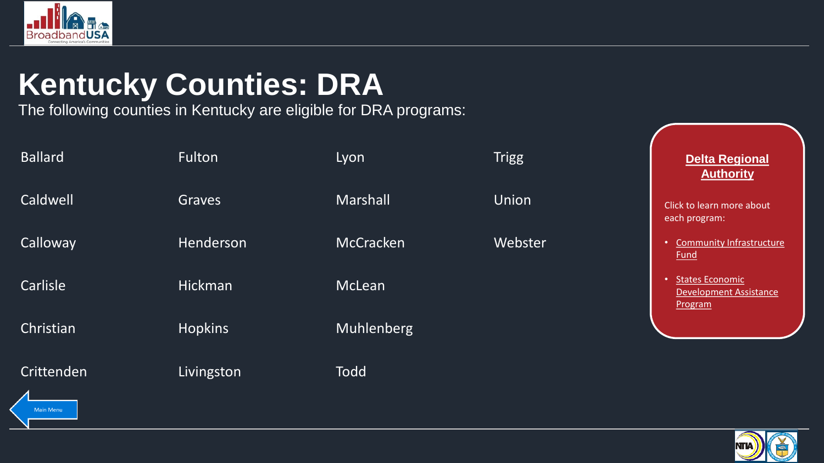<span id="page-22-0"></span>

# **Kentucky Counties: DRA**

The following counties in Kentucky are eligible for DRA programs:

| <b>Ballard</b>   | Fulton         | Lyon             | <b>Trigg</b> | <b>Delta Regional</b><br><b>Authority</b>                          |
|------------------|----------------|------------------|--------------|--------------------------------------------------------------------|
| Caldwell         | Graves         | Marshall         | Union        | Click to learn more about<br>each program:                         |
| Calloway         | Henderson      | <b>McCracken</b> | Webster      | Community Infrastructure<br><b>Fund</b>                            |
| Carlisle         | Hickman        | McLean           |              | <b>States Economic</b><br><b>Development Assistance</b><br>Program |
| Christian        | <b>Hopkins</b> | Muhlenberg       |              |                                                                    |
| Crittenden       | Livingston     | <b>Todd</b>      |              |                                                                    |
| <b>Main Menu</b> |                |                  |              |                                                                    |

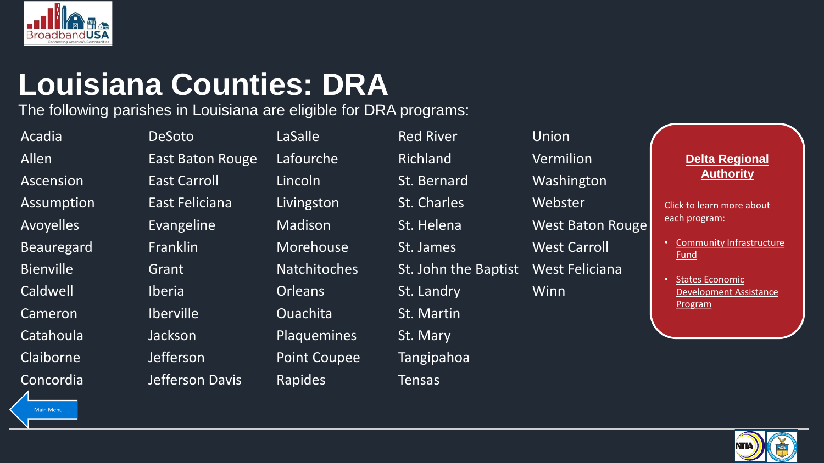<span id="page-23-0"></span>

## **Louisiana Counties: DRA**

The following parishes in Louisiana are eligible for DRA programs:

Main Menu

Acadia DeSoto LaSalle Red River Union Cameron Iberville Duachita St. Martin Catahoula Jackson Plaquemines St. Mary Claiborne Jefferson Point Coupee Tangipahoa Concordia Jefferson Davis Rapides Tensas

Allen **East Baton Rouge Lafourche** Richland Vermilion Ascension East Carroll Lincoln St. Bernard Washington Assumption East Feliciana Livingston St. Charles Webster Avoyelles **Evangeline** Madison St. Helena West Baton Rouge Beauregard Franklin Morehouse St. James West Carroll Bienville Grant Grant Natchitoches St. John the Baptist West Feliciana Caldwell **Iberia** Iberia Crleans St. Landry Winn

#### **Delta Regional Authority**

- [Community Infrastructure](#page-27-0) Fund
- States Economic [Development Assistance](#page-28-0)  Program

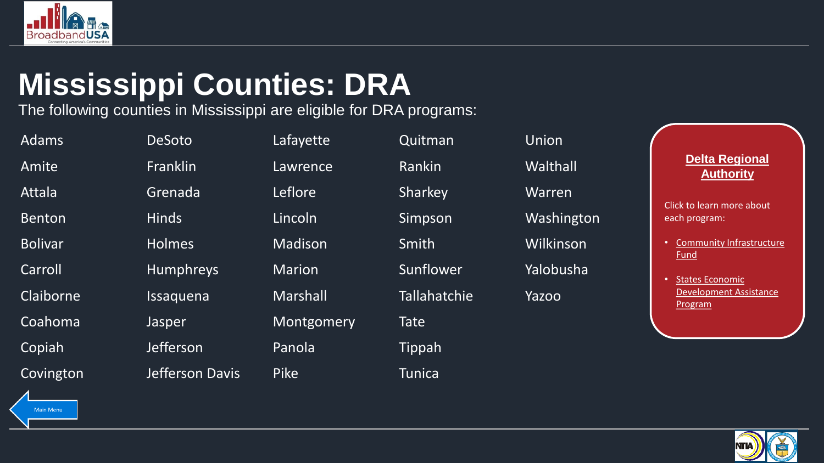<span id="page-24-0"></span>

## **Mississippi Counties: DRA**

The following counties in Mississippi are eligible for DRA programs:

| <b>Adams</b>   | <b>DeSoto</b>    | Lafayette       | Quitman             | Union      |                                                |
|----------------|------------------|-----------------|---------------------|------------|------------------------------------------------|
| Amite          | <b>Franklin</b>  | Lawrence        | Rankin              | Walthall   | <b>Delta Regional</b><br><b>Authority</b>      |
| Attala         | Grenada          | Leflore         | Sharkey             | Warren     | Click to learn more about                      |
| <b>Benton</b>  | <b>Hinds</b>     | Lincoln         | Simpson             | Washington | each program:                                  |
| <b>Bolivar</b> | <b>Holmes</b>    | Madison         | Smith               | Wilkinson  | <b>Community Infrastructure</b><br><u>Fund</u> |
| Carroll        | <b>Humphreys</b> | <b>Marion</b>   | Sunflower           | Yalobusha  | <b>States Economic</b>                         |
| Claiborne      | Issaquena        | <b>Marshall</b> | <b>Tallahatchie</b> | Yazoo      | <b>Development Assistance</b><br>Program       |
| Coahoma        | Jasper           | Montgomery      | <b>Tate</b>         |            |                                                |
| Copiah         | <b>Jefferson</b> | Panola          | Tippah              |            |                                                |
| Covington      | Jefferson Davis  | <b>Pike</b>     | <b>Tunica</b>       |            |                                                |

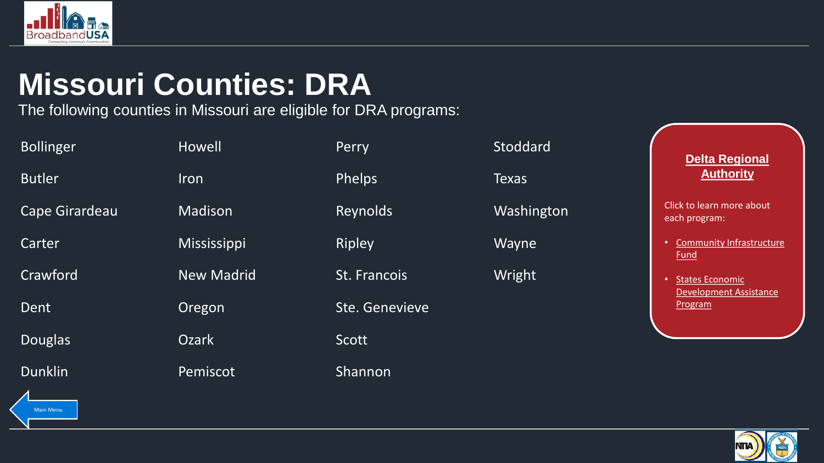<span id="page-25-0"></span>

## **Missouri Counties: DRA**

The following counties in Missouri are eligible for DRA programs:

| <b>Bollinger</b> | Howell            | Perry          | Stoddard     | Delta Regional                                       |
|------------------|-------------------|----------------|--------------|------------------------------------------------------|
| <b>Butler</b>    | Iron              | Phelps         | <b>Texas</b> | <b>Authority</b>                                     |
| Cape Girardeau   | Madison           | Reynolds       | Washington   | Click to learn more about<br>each program:           |
| Carter           | Mississippi       | <b>Ripley</b>  | Wayne        | Community Infrastructure<br>$\bullet$<br><u>Fund</u> |
| Crawford         | <b>New Madrid</b> | St. Francois   | Wright       | <b>States Economic</b><br>$\bullet$                  |
| Dent             | Oregon            | Ste. Genevieve |              | <b>Development Assistance</b><br>Program             |
| <b>Douglas</b>   | <b>Ozark</b>      | Scott          |              |                                                      |
| <b>Dunklin</b>   | Pemiscot          | Shannon        |              |                                                      |

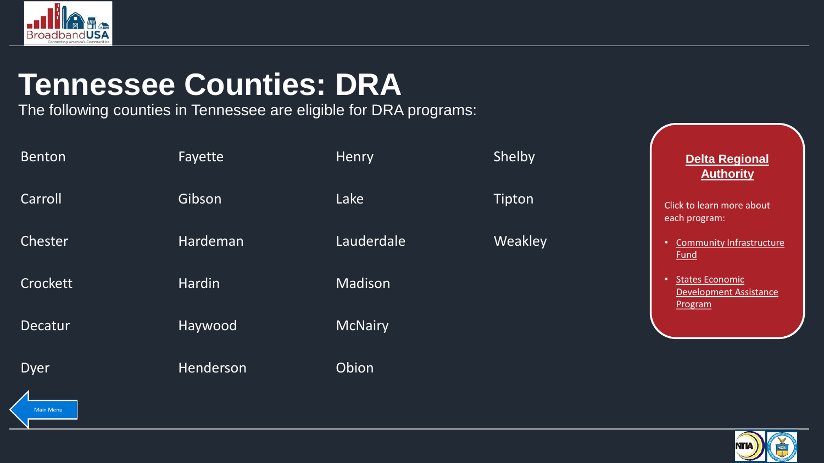<span id="page-26-0"></span>

#### **Tennessee Counties: DRA**

The following counties in Tennessee are eligible for DRA programs:

| <b>Benton</b> | Fayette   | Henry          | Shelby  | <b>Delta Regional</b><br><b>Authority</b>                   |
|---------------|-----------|----------------|---------|-------------------------------------------------------------|
| Carroll       | Gibson    | Lake           | Tipton  | Click to learn more about<br>each program:                  |
| Chester       | Hardeman  | Lauderdale     | Weakley | <b>Community Infrastructure</b><br><b>Fund</b>              |
| Crockett      | Hardin    | Madison        |         | States Economic<br><b>Development Assistance</b><br>Program |
| Decatur       | Haywood   | <b>McNairy</b> |         |                                                             |
| <b>Dyer</b>   | Henderson | Obion          |         |                                                             |
|               |           |                |         |                                                             |

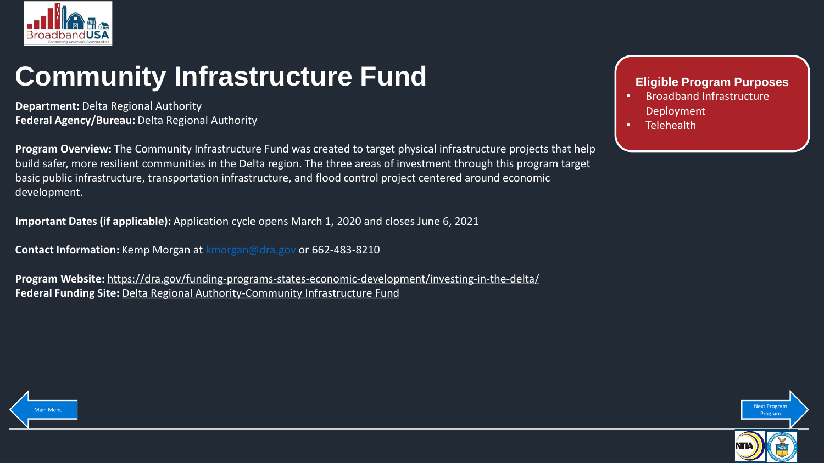<span id="page-27-0"></span>

#### **Community Infrastructure Fund**

**Department:** Delta Regional Authority **Federal Agency/Bureau:** Delta Regional Authority

**Program Overview:** The Community Infrastructure Fund was created to target physical infrastructure projects that help build safer, more resilient communities in the Delta region. The three areas of investment through this program target basic public infrastructure, transportation infrastructure, and flood control project centered around economic development.

**Important Dates (if applicable):** Application cycle opens March 1, 2020 and closes June 6, 2021

**Contact Information:** Kemp Morgan at [kmorgan@dra.gov](mailto:kmorgan@dra.gov) or 662-483-8210

**Program Website:** <https://dra.gov/funding-programs-states-economic-development/investing-in-the-delta/> **Federal Funding Site:** [Delta Regional Authority-Community Infrastructure Fund](https://broadbandusa.ntia.doc.gov/resources/federal/federal-funding/delta-regional-authority-community-infrastructure-fund)

#### **Eligible Program Purposes**

- Broadband Infrastructure Deployment
- **Telehealth**



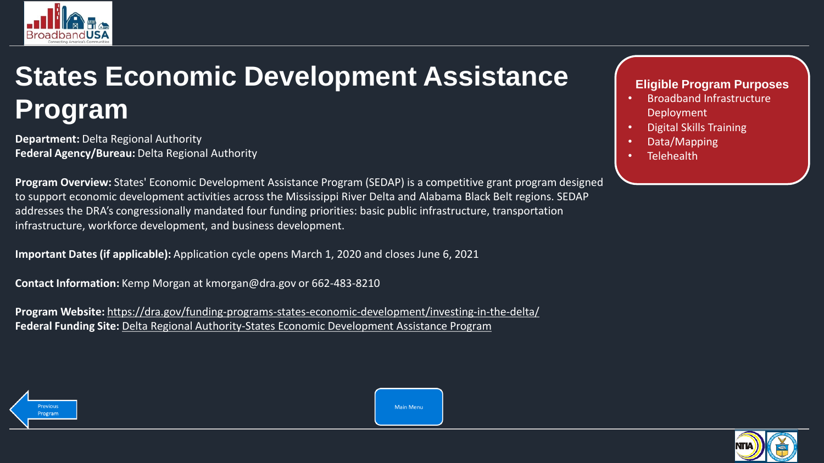<span id="page-28-0"></span>

#### **States Economic Development Assistance Program**

**Department:** Delta Regional Authority **Federal Agency/Bureau:** Delta Regional Authority

**Program Overview:** States' Economic Development Assistance Program (SEDAP) is a competitive grant program designed to support economic development activities across the Mississippi River Delta and Alabama Black Belt regions. SEDAP addresses the DRA's congressionally mandated four funding priorities: basic public infrastructure, transportation infrastructure, workforce development, and business development.

**Important Dates (if applicable):** Application cycle opens March 1, 2020 and closes June 6, 2021

**Contact Information:** Kemp Morgan at kmorgan@dra.gov or 662-483-8210

**Program Website:** <https://dra.gov/funding-programs-states-economic-development/investing-in-the-delta/> **Federal Funding Site:** [Delta Regional Authority-States Economic Development Assistance Program](https://broadbandusa.ntia.doc.gov/resources/federal/federal-funding/delta-regional-authority-states-economic-development-assistance)

#### **Eligible Program Purposes**

- Broadband Infrastructure Deployment
- Digital Skills Training
- Data/Mapping
- **Telehealth**





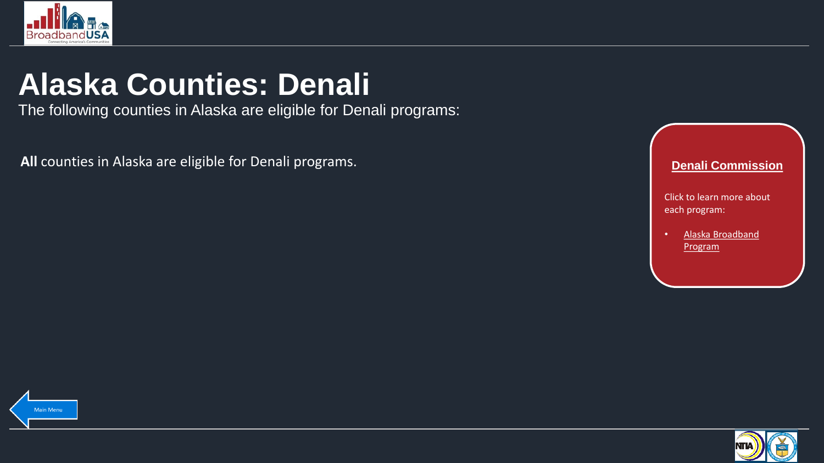<span id="page-29-0"></span>

## **Alaska Counties: Denali**

The following counties in Alaska are eligible for Denali programs:

**All** counties in Alaska are eligible for Denali programs. **Denali Commission Denali Commission** 





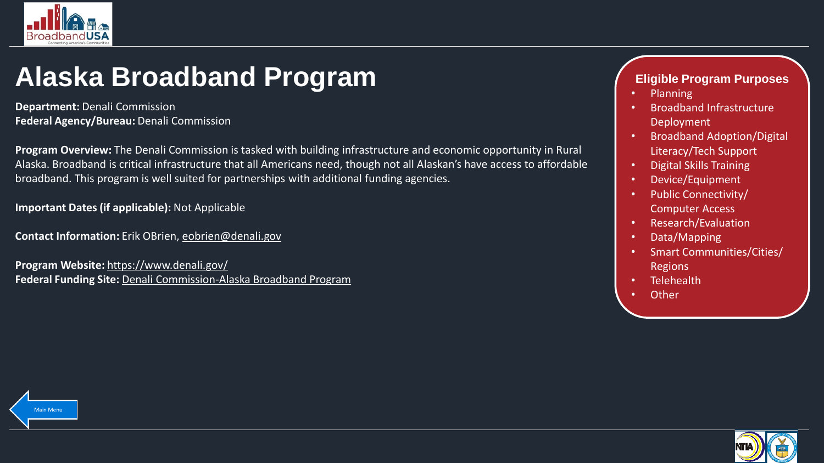<span id="page-30-0"></span>

#### **Alaska Broadband Program**

**Department:** Denali Commission **Federal Agency/Bureau:** Denali Commission

**Program Overview:** The Denali Commission is tasked with building infrastructure and economic opportunity in Rural Alaska. Broadband is critical infrastructure that all Americans need, though not all Alaskan's have access to affordable broadband. This program is well suited for partnerships with additional funding agencies.

**Important Dates (if applicable):** Not Applicable

**Contact Information:** Erik OBrien, [eobrien@denali.gov](mailto:eobrien@denali.gov)

**Program Website:** <https://www.denali.gov/> **Federal Funding Site:** [Denali Commission-Alaska Broadband Program](https://broadbandusa.ntia.doc.gov/resources/federal/federal-funding/denali-commission-alaska-broadband-program)

#### **Eligible Program Purposes**

- Planning
- Broadband Infrastructure Deployment
- Broadband Adoption/Digital Literacy/Tech Support
- Digital Skills Training
- Device/Equipment
- Public Connectivity/ Computer Access
- Research/Evaluation
- Data/Mapping
- Smart Communities/Cities/ Regions
- Telehealth
- **Other**



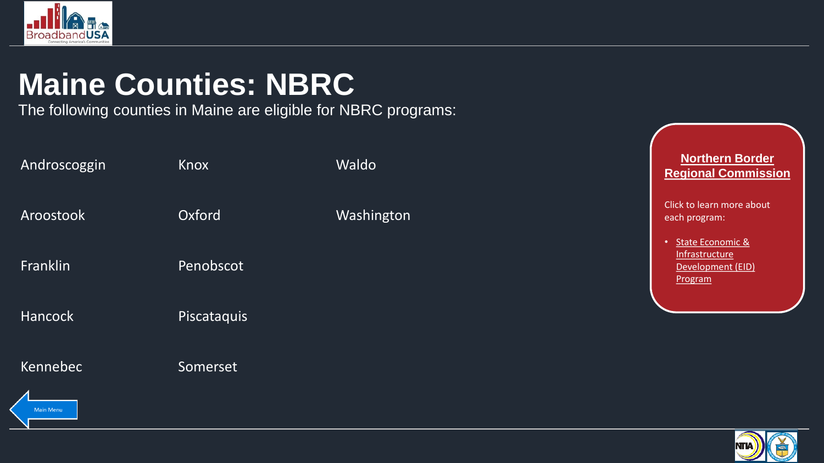<span id="page-31-0"></span>

# **Maine Counties: NBRC**

The following counties in Maine are eligible for NBRC programs:

| Androscoggin   | Knox        | Waldo      | <b>Northern Border</b><br><b>Regional Commission</b>                    |
|----------------|-------------|------------|-------------------------------------------------------------------------|
| Aroostook      | Oxford      | Washington | Click to learn more about<br>each program:                              |
| Franklin       | Penobscot   |            | State Economic &<br>٠<br>Infrastructure<br>Development (EID)<br>Program |
| <b>Hancock</b> | Piscataquis |            |                                                                         |
| Kennebec       | Somerset    |            |                                                                         |
| Main Menu      |             |            | ____                                                                    |

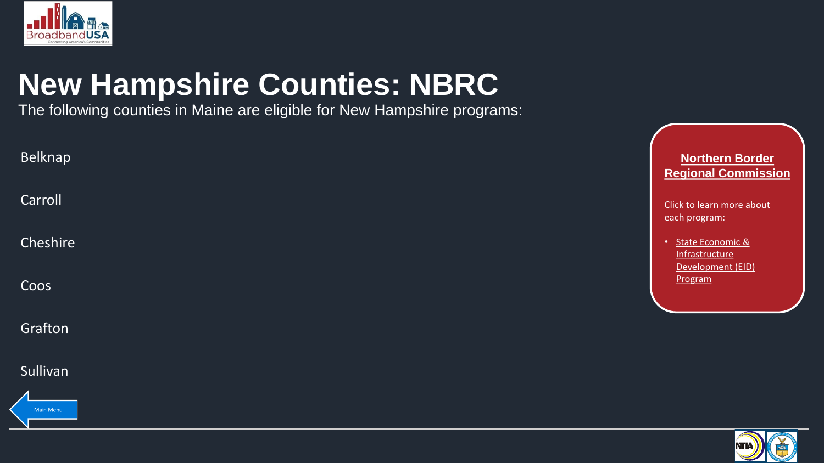<span id="page-32-0"></span>

# **New Hampshire Counties: NBRC**

The following counties in Maine are eligible for New Hampshire programs:

| Belknap  | Northern Border<br><b>Regional Commission</b>                        |
|----------|----------------------------------------------------------------------|
| Carroll  | Click to learn more about<br>each program:                           |
| Cheshire | State Economic &<br>$\bullet$<br>Infrastructure<br>Development (EID) |
| Coos     | Program                                                              |
| Grafton  |                                                                      |

Sullivan



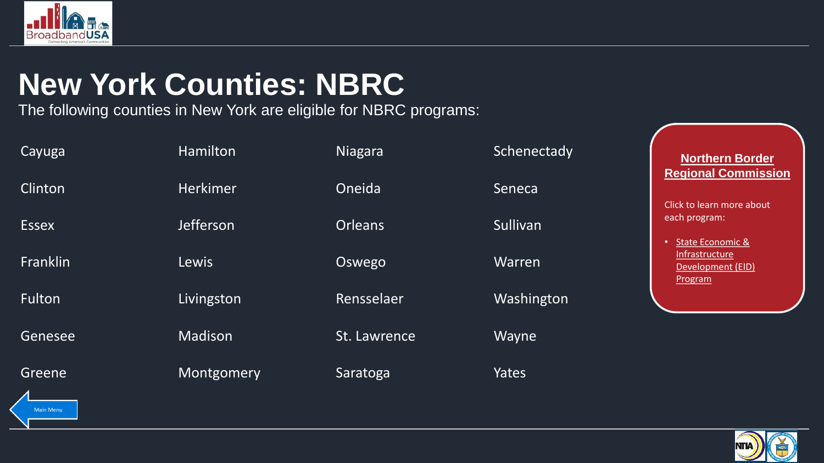<span id="page-33-0"></span>

## **New York Counties: NBRC**

The following counties in New York are eligible for NBRC programs:

| Cayuga                     | Hamilton        | Niagara        | Schenectady |
|----------------------------|-----------------|----------------|-------------|
| Clinton                    | <b>Herkimer</b> | Oneida         | Seneca      |
| <b>Essex</b>               | Jefferson       | <b>Orleans</b> | Sullivan    |
| <b>Franklin</b>            | Lewis           | Oswego         | Warren      |
| Fulton                     | Livingston      | Rensselaer     | Washington  |
| Genesee                    | Madison         | St. Lawrence   | Wayne       |
| Greene<br>$\blacktriangle$ | Montgomery      | Saratoga       | Yates       |

**Northern Border Regional Commission**

Click to learn more about each program:

• State Economic & **Infrastructure** [Development \(EID\)](#page-35-0)  Program

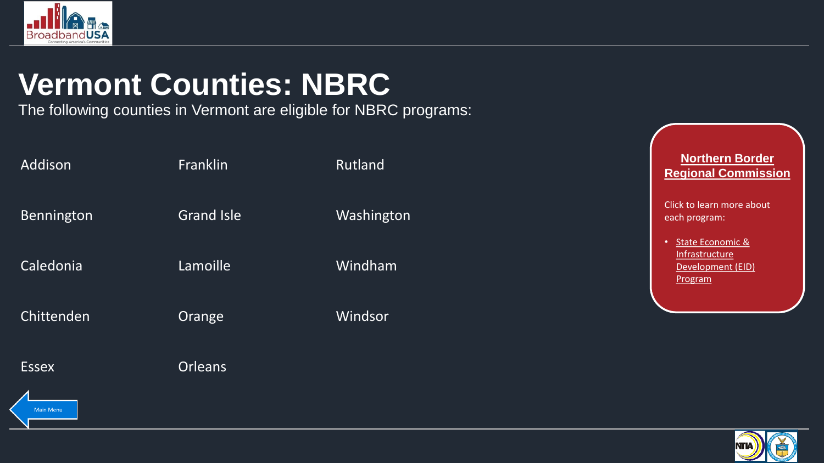<span id="page-34-0"></span>

# **Vermont Counties: NBRC**

The following counties in Vermont are eligible for NBRC programs:

| Addison      | Franklin          | Rutland    | <b>Northern Border</b><br><b>Regional Commission</b>                            |
|--------------|-------------------|------------|---------------------------------------------------------------------------------|
| Bennington   | <b>Grand Isle</b> | Washington | Click to learn more about<br>each program:                                      |
| Caledonia    | Lamoille          | Windham    | State Economic &<br>$\bullet$<br>Infrastructure<br>Development (EID)<br>Program |
| Chittenden   | Orange            | Windsor    |                                                                                 |
| <b>Essex</b> | <b>Orleans</b>    |            |                                                                                 |
| Main Menu    |                   |            |                                                                                 |